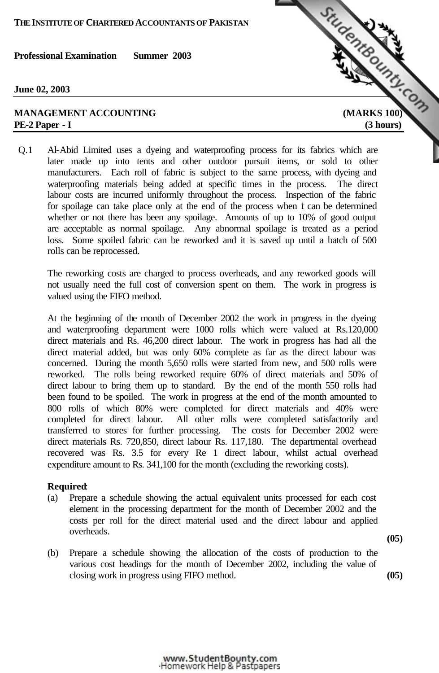**June 02, 2003**

# **PE-2 Paper - I (3 hours)**



Q.1 Al-Abid Limited uses a dyeing and waterproofing process for its fabrics which are later made up into tents and other outdoor pursuit items, or sold to other manufacturers. Each roll of fabric is subject to the same process, with dyeing and waterproofing materials being added at specific times in the process. The direct labour costs are incurred uniformly throughout the process. Inspection of the fabric for spoilage can take place only at the end of the process when  $\dot{\mathbf{t}}$  can be determined whether or not there has been any spoilage. Amounts of up to 10% of good output are acceptable as normal spoilage. Any abnormal spoilage is treated as a period loss. Some spoiled fabric can be reworked and it is saved up until a batch of 500 rolls can be reprocessed.

The reworking costs are charged to process overheads, and any reworked goods will not usually need the full cost of conversion spent on them. The work in progress is valued using the FIFO method.

At the beginning of the month of December 2002 the work in progress in the dyeing and waterproofing department were 1000 rolls which were valued at Rs.120,000 direct materials and Rs. 46,200 direct labour. The work in progress has had all the direct material added, but was only 60% complete as far as the direct labour was concerned. During the month 5,650 rolls were started from new, and 500 rolls were reworked. The rolls being reworked require 60% of direct materials and 50% of direct labour to bring them up to standard. By the end of the month 550 rolls had been found to be spoiled. The work in progress at the end of the month amounted to 800 rolls of which 80% were completed for direct materials and 40% were completed for direct labour. All other rolls were completed satisfactorily and transferred to stores for further processing. The costs for December 2002 were direct materials Rs. 720,850, direct labour Rs. 117,180. The departmental overhead recovered was Rs. 3.5 for every Re 1 direct labour, whilst actual overhead expenditure amount to Rs. 341,100 for the month (excluding the reworking costs).

#### **Required**:

- (a) Prepare a schedule showing the actual equivalent units processed for each cost element in the processing department for the month of December 2002 and the costs per roll for the direct material used and the direct labour and applied overheads.
- (b) Prepare a schedule showing the allocation of the costs of production to the various cost headings for the month of December 2002, including the value of closing work in progress using FIFO method. **(05)**

**(05)**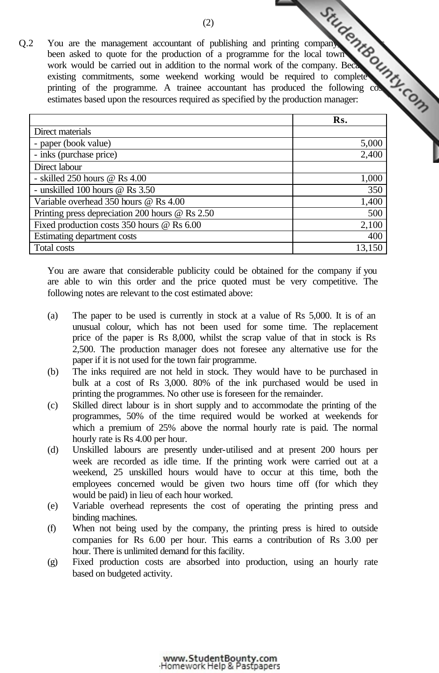Q.2 You are the management accountant of publishing and printing company, which has been accountant of publishing and printing company been asked to quote for the production of a programme for the local town work would be carried out in addition to the normal work of the company. Because existing commitments, some weekend working would be required to complete printing of the programme. A trainee accountant has produced the following cost estimates based upon the resources required as specified by the production manager: **Rentsounts.com** 

|                                                        | Rs.    |
|--------------------------------------------------------|--------|
| Direct materials                                       |        |
| - paper (book value)                                   | 5,000  |
| - inks (purchase price)                                | 2,400  |
| Direct labour                                          |        |
| - skilled $250$ hours @ Rs $4.00$                      | 1,000  |
| - unskilled 100 hours $\omega$ Rs 3.50                 | 350    |
| Variable overhead 350 hours @ Rs 4.00                  | 1,400  |
| Printing press depreciation 200 hours $\omega$ Rs 2.50 | 500    |
| Fixed production costs $350$ hours @ Rs $6.00$         | 2,100  |
| Estimating department costs                            | 400    |
| Total costs                                            | 13,150 |

You are aware that considerable publicity could be obtained for the company if you are able to win this order and the price quoted must be very competitive. The following notes are relevant to the cost estimated above:

- (a) The paper to be used is currently in stock at a value of Rs 5,000. It is of an unusual colour, which has not been used for some time. The replacement price of the paper is Rs 8,000, whilst the scrap value of that in stock is Rs 2,500. The production manager does not foresee any alternative use for the paper if it is not used for the town fair programme.
- (b) The inks required are not held in stock. They would have to be purchased in bulk at a cost of Rs 3,000. 80% of the ink purchased would be used in printing the programmes. No other use is foreseen for the remainder.
- (c) Skilled direct labour is in short supply and to accommodate the printing of the programmes, 50% of the time required would be worked at weekends for which a premium of 25% above the normal hourly rate is paid. The normal hourly rate is Rs 4.00 per hour.
- (d) Unskilled labours are presently under-utilised and at present 200 hours per week are recorded as idle time. If the printing work were carried out at a weekend, 25 unskilled hours would have to occur at this time, both the employees concerned would be given two hours time off (for which they would be paid) in lieu of each hour worked.
- (e) Variable overhead represents the cost of operating the printing press and binding machines.
- (f) When not being used by the company, the printing press is hired to outside companies for Rs 6.00 per hour. This earns a contribution of Rs 3.00 per hour. There is unlimited demand for this facility.
- (g) Fixed production costs are absorbed into production, using an hourly rate based on budgeted activity.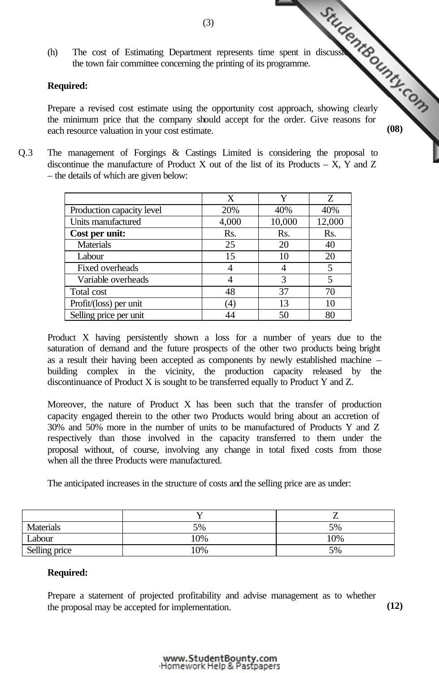the town fair committee concerning the printing of its programme.

# **Required:**

(h) The cost of Estimating Department represents time spent in discussions with the three concerning the printing of its programme. Prepare a revised cost estimate using the opportunity cost approach, showing clearly the minimum price that the company should accept for the order. Give reasons for each resource valuation in your cost estimate. **(08)**

Q.3 The management of Forgings & Castings Limited is considering the proposal to discontinue the manufacture of Product X out of the list of its Products  $- X$ , Y and Z – the details of which are given below:

|                           | X                |        | Z      |
|---------------------------|------------------|--------|--------|
| Production capacity level | 20%              | 40%    | 40%    |
| Units manufactured        | 4,000            | 10,000 | 12,000 |
| Cost per unit:            | Rs.              | Rs.    | Rs.    |
| <b>Materials</b>          | 25               | 20     | 40     |
| Labour                    | 15               | 10     | 20     |
| Fixed overheads           |                  |        | 5      |
| Variable overheads        |                  | 3      | 5      |
| Total cost                | 48               | 37     | 70     |
| Profit/(loss) per unit    | $\left(4\right)$ | 13     | 10     |
| Selling price per unit    |                  | 50     | 80     |

Product X having persistently shown a loss for a number of years due to the saturation of demand and the future prospects of the other two products being bright as a result their having been accepted as components by newly established machine – building complex in the vicinity, the production capacity released by the discontinuance of Product X is sought to be transferred equally to Product Y and Z.

Moreover, the nature of Product X has been such that the transfer of production capacity engaged therein to the other two Products would bring about an accretion of 30% and 50% more in the number of units to be manufactured of Products Y and Z respectively than those involved in the capacity transferred to them under the proposal without, of course, involving any change in total fixed costs from those when all the three Products were manufactured.

The anticipated increases in the structure of costs and the selling price are as under:

| Materials     | 5%    | 5%  |
|---------------|-------|-----|
| Labour        | 10%   | 10% |
| Selling price | $0\%$ | 5%  |

## **Required:**

Prepare a statement of projected profitability and advise management as to whether the proposal may be accepted for implementation. **(12)**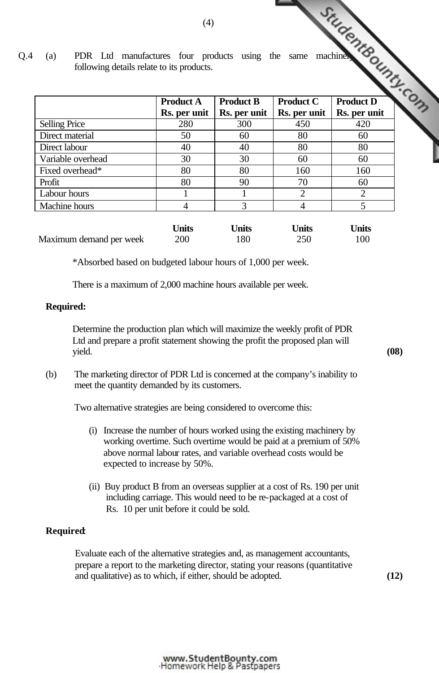Q.4 (a) PDR Ltd manufactures four products using the same machinery. following details relate to its products.

|                      | <b>Product A</b> | <b>Product B</b> | <b>Product C</b>            | <b>Product D</b> |
|----------------------|------------------|------------------|-----------------------------|------------------|
|                      | Rs. per unit     | Rs. per unit     | Rs. per unit                | Rs. per unit     |
| <b>Selling Price</b> | 280              | 300              | 450                         | 420              |
| Direct material      | 50               | 60               | 80                          | 60               |
| Direct labour        | 40               | 40               | 80                          | 80               |
| Variable overhead    | 30               | 30               | 60                          | 60               |
| Fixed overhead*      | 80               | 80               | 160                         | 160              |
| Profit               | 80               | 90               | 70                          | 60               |
| Labour hours         |                  |                  | $\mathcal{D}_{\mathcal{L}}$ | ◠                |
| Machine hours        | 4                | 3                |                             |                  |

|                         | <b>Jnits</b> | Units | <b>Jnits</b> | <b>Inits</b> |
|-------------------------|--------------|-------|--------------|--------------|
| Maximum demand per week | 200          | 180   | 250          | 100          |

\*Absorbed based on budgeted labour hours of 1,000 per week.

There is a maximum of 2,000 machine hours available per week.

#### **Required:**

 Determine the production plan which will maximize the weekly profit of PDR Ltd and prepare a profit statement showing the profit the proposed plan will yield. **(08)**

(b) The marketing director of PDR Ltd is concerned at the company's inability to meet the quantity demanded by its customers.

Two alternative strategies are being considered to overcome this:

- (i) Increase the number of hours worked using the existing machinery by working overtime. Such overtime would be paid at a premium of 50% above normal labour rates, and variable overhead costs would be expected to increase by 50%.
- (ii) Buy product B from an overseas supplier at a cost of Rs. 190 per unit including carriage. This would need to be re-packaged at a cost of Rs. 10 per unit before it could be sold.

## **Required**:

 Evaluate each of the alternative strategies and, as management accountants, prepare a report to the marketing director, stating your reasons (quantitative and qualitative) as to which, if either, should be adopted. **(12)**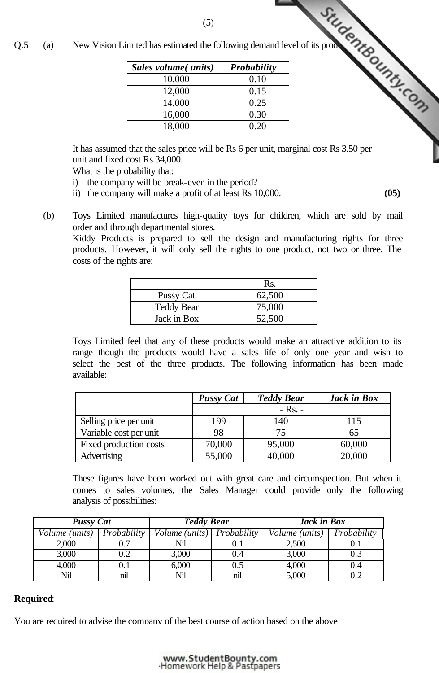|  | Sales volume(units) | <b>Probability</b> |
|--|---------------------|--------------------|
|  | 10,000              | 0.10               |
|  | 12,000              | 0.15               |
|  | 14,000              | 0.25               |
|  | 16,000              | 0.30               |
|  | 18,000              | 0.20               |

It has assumed that the sales price will be Rs 6 per unit[, marginal cost Rs 3.50 per](http://www.studentbounty.com/)  unit and fixed cost Rs 34,000.

What is the probability that:

- i) the company will be break-even in the period?
- ii) the company will make a profit of at least Rs 10,000. **(05)**
- (b) Toys Limited manufactures high-quality toys for children, which are sold by mail order and through departmental stores.

Kiddy Products is prepared to sell the design and manufacturing rights for three products. However, it will only sell the rights to one product, not two or three. The costs of the rights are:

|                   | Rs.    |
|-------------------|--------|
| Pussy Cat         | 62,500 |
| <b>Teddy Bear</b> | 75,000 |
| Jack in Box       | 52,500 |

Toys Limited feel that any of these products would make an attractive addition to its range though the products would have a sales life of only one year and wish to select the best of the three products. The following information has been made available:

|                        | <b>Pussy Cat</b> | <b>Teddy Bear</b> | Jack in Box |  |  |
|------------------------|------------------|-------------------|-------------|--|--|
|                        | $-$ Rs. $-$      |                   |             |  |  |
| Selling price per unit | 199              | 140               | 115         |  |  |
| Variable cost per unit | 98               | 75                | 65          |  |  |
| Fixed production costs | 70,000           | 95,000            | 60,000      |  |  |
| Advertising            | 55,000           | 40,000            | 20,000      |  |  |

These figures have been worked out with great care and circumspection. But when it comes to sales volumes, the Sales Manager could provide only the following analysis of possibilities:

|                              | <b>Pussy Cat</b> |                            | <b>Teddy Bear</b> |                | Jack in Box |
|------------------------------|------------------|----------------------------|-------------------|----------------|-------------|
| Volume (units)   Probability |                  | Volume (units) Probability |                   | Volume (units) | Probability |
| 2,000                        | 0.7              | Nil                        |                   | 2,500          |             |
| 3,000                        | 0.2              | 3,000                      | 0.4               | 3,000          |             |
| 4,000                        |                  | 6,000                      | $\rm 0.5$         | 4,000          | (0.4)       |
| Nil                          | nil              | Nil                        | nil               | 5,000          |             |

## **Required**:

You are required to advise the company of the best course of action based on the above

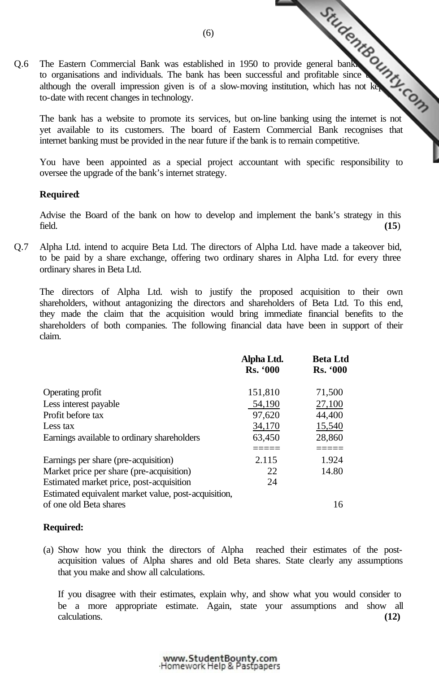Q.6 The Eastern Commercial Bank was established in 1950 to provide general bank<br>
services and individuals. The bank has been successful and profitable since<br>
services and individuals. The bank has been successful and profi to organisations and individuals. The bank has been successful and profitable since although the overall impression given is of a slow-moving institution, which has not kept upto-date with recent changes in technology.

The bank has a website to promote its services, but on-lin[e banking using the internet is not](http://www.studentbounty.com/)  yet available to its customers. The board of Eastern Commercial Bank recognises that internet banking must be provided in the near future if the bank is to remain competitive.

You have been appointed as a special project accountant with specific responsibility to oversee the upgrade of the bank's internet strategy.

# **Required**:

Advise the Board of the bank on how to develop and implement the bank's strategy in this field. **(15**)

Q.7 Alpha Ltd. intend to acquire Beta Ltd. The directors of Alpha Ltd. have made a takeover bid, to be paid by a share exchange, offering two ordinary shares in Alpha Ltd. for every three ordinary shares in Beta Ltd.

The directors of Alpha Ltd. wish to justify the proposed acquisition to their own shareholders, without antagonizing the directors and shareholders of Beta Ltd. To this end, they made the claim that the acquisition would bring immediate financial benefits to the shareholders of both companies. The following financial data have been in support of their claim.

|                                                      | Alpha Ltd.<br><b>Rs. '000</b> | <b>Beta Ltd</b><br><b>Rs. '000</b> |
|------------------------------------------------------|-------------------------------|------------------------------------|
|                                                      |                               |                                    |
| Operating profit                                     | 151,810                       | 71,500                             |
| Less interest payable                                | 54,190                        | 27,100                             |
| Profit before tax                                    | 97,620                        | 44,400                             |
| Less tax                                             | 34,170                        | 15,540                             |
| Earnings available to ordinary shareholders          | 63,450                        | 28,860                             |
|                                                      | ====                          |                                    |
| Earnings per share (pre-acquisition)                 | 2.115                         | 1.924                              |
| Market price per share (pre-acquisition)             | 22                            | 14.80                              |
| Estimated market price, post-acquisition             | 24                            |                                    |
| Estimated equivalent market value, post-acquisition, |                               |                                    |
| of one old Beta shares                               |                               | 16                                 |

# **Required:**

(a) Show how you think the directors of Alpha reached their estimates of the postacquisition values of Alpha shares and old Beta shares. State clearly any assumptions that you make and show all calculations.

If you disagree with their estimates, explain why, and show what you would consider to be a more appropriate estimate. Again, state your assumptions and show all calculations. **(12)**